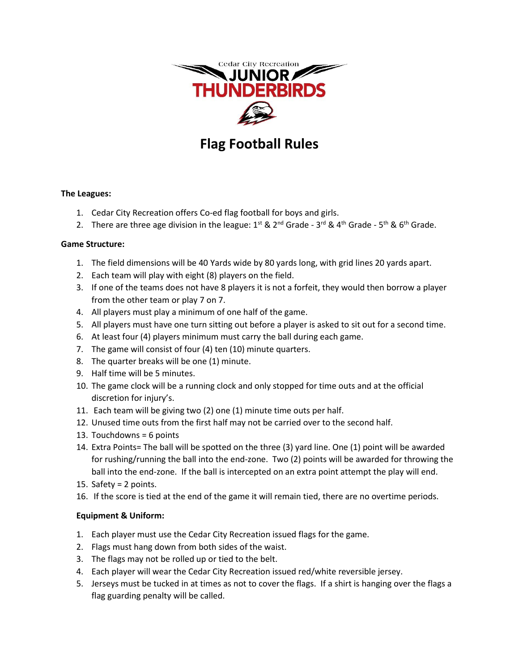

# **Flag Football Rules**

#### **The Leagues:**

- 1. Cedar City Recreation offers Co-ed flag football for boys and girls.
- 2. There are three age division in the league:  $1^{\text{st}}$  &  $2^{\text{nd}}$  Grade 3<sup>rd</sup> & 4<sup>th</sup> Grade 5<sup>th</sup> & 6<sup>th</sup> Grade.

#### **Game Structure:**

- 1. The field dimensions will be 40 Yards wide by 80 yards long, with grid lines 20 yards apart.
- 2. Each team will play with eight (8) players on the field.
- 3. If one of the teams does not have 8 players it is not a forfeit, they would then borrow a player from the other team or play 7 on 7.
- 4. All players must play a minimum of one half of the game.
- 5. All players must have one turn sitting out before a player is asked to sit out for a second time.
- 6. At least four (4) players minimum must carry the ball during each game.
- 7. The game will consist of four (4) ten (10) minute quarters.
- 8. The quarter breaks will be one (1) minute.
- 9. Half time will be 5 minutes.
- 10. The game clock will be a running clock and only stopped for time outs and at the official discretion for injury's.
- 11. Each team will be giving two (2) one (1) minute time outs per half.
- 12. Unused time outs from the first half may not be carried over to the second half.
- 13. Touchdowns = 6 points
- 14. Extra Points= The ball will be spotted on the three (3) yard line. One (1) point will be awarded for rushing/running the ball into the end-zone. Two (2) points will be awarded for throwing the ball into the end-zone. If the ball is intercepted on an extra point attempt the play will end.
- 15. Safety = 2 points.
- 16. If the score is tied at the end of the game it will remain tied, there are no overtime periods.

## **Equipment & Uniform:**

- 1. Each player must use the Cedar City Recreation issued flags for the game.
- 2. Flags must hang down from both sides of the waist.
- 3. The flags may not be rolled up or tied to the belt.
- 4. Each player will wear the Cedar City Recreation issued red/white reversible jersey.
- 5. Jerseys must be tucked in at times as not to cover the flags. If a shirt is hanging over the flags a flag guarding penalty will be called.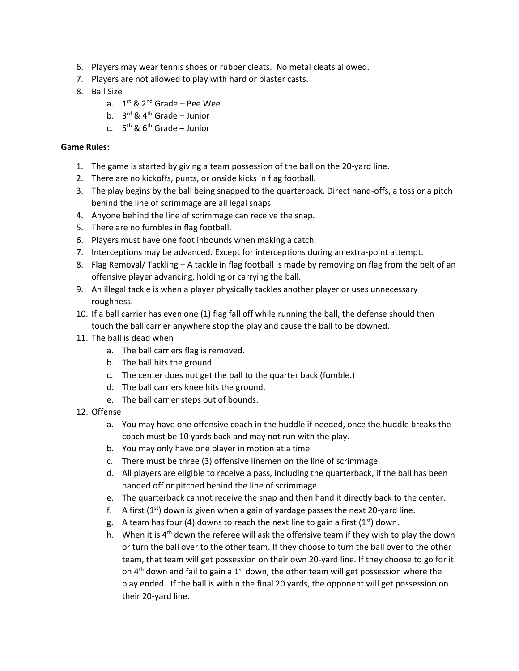- 6. Players may wear tennis shoes or rubber cleats. No metal cleats allowed.
- 7. Players are not allowed to play with hard or plaster casts.
- 8. Ball Size
	- a. 1<sup>st</sup> & 2<sup>nd</sup> Grade Pee Wee
	- b. 3<sup>rd</sup> & 4<sup>th</sup> Grade Junior
	- c. 5<sup>th</sup> & 6<sup>th</sup> Grade Junior

#### **Game Rules:**

- 1. The game is started by giving a team possession of the ball on the 20-yard line.
- 2. There are no kickoffs, punts, or onside kicks in flag football.
- 3. The play begins by the ball being snapped to the quarterback. Direct hand-offs, a toss or a pitch behind the line of scrimmage are all legal snaps.
- 4. Anyone behind the line of scrimmage can receive the snap.
- 5. There are no fumbles in flag football.
- 6. Players must have one foot inbounds when making a catch.
- 7. Interceptions may be advanced. Except for interceptions during an extra-point attempt.
- 8. Flag Removal/ Tackling A tackle in flag football is made by removing on flag from the belt of an offensive player advancing, holding or carrying the ball.
- 9. An illegal tackle is when a player physically tackles another player or uses unnecessary roughness.
- 10. If a ball carrier has even one (1) flag fall off while running the ball, the defense should then touch the ball carrier anywhere stop the play and cause the ball to be downed.
- 11. The ball is dead when
	- a. The ball carriers flag is removed.
	- b. The ball hits the ground.
	- c. The center does not get the ball to the quarter back (fumble.)
	- d. The ball carriers knee hits the ground.
	- e. The ball carrier steps out of bounds.
- 12. Offense
	- a. You may have one offensive coach in the huddle if needed, once the huddle breaks the coach must be 10 yards back and may not run with the play.
	- b. You may only have one player in motion at a time
	- c. There must be three (3) offensive linemen on the line of scrimmage.
	- d. All players are eligible to receive a pass, including the quarterback, if the ball has been handed off or pitched behind the line of scrimmage.
	- e. The quarterback cannot receive the snap and then hand it directly back to the center.
	- f. A first  $(1^{st})$  down is given when a gain of yardage passes the next 20-yard line.
	- g. A team has four (4) downs to reach the next line to gain a first  $(1<sup>st</sup>)$  down.
	- h. When it is  $4<sup>th</sup>$  down the referee will ask the offensive team if they wish to play the down or turn the ball over to the other team. If they choose to turn the ball over to the other team, that team will get possession on their own 20-yard line. If they choose to go for it on  $4<sup>th</sup>$  down and fail to gain a 1<sup>st</sup> down, the other team will get possession where the play ended. If the ball is within the final 20 yards, the opponent will get possession on their 20-yard line.